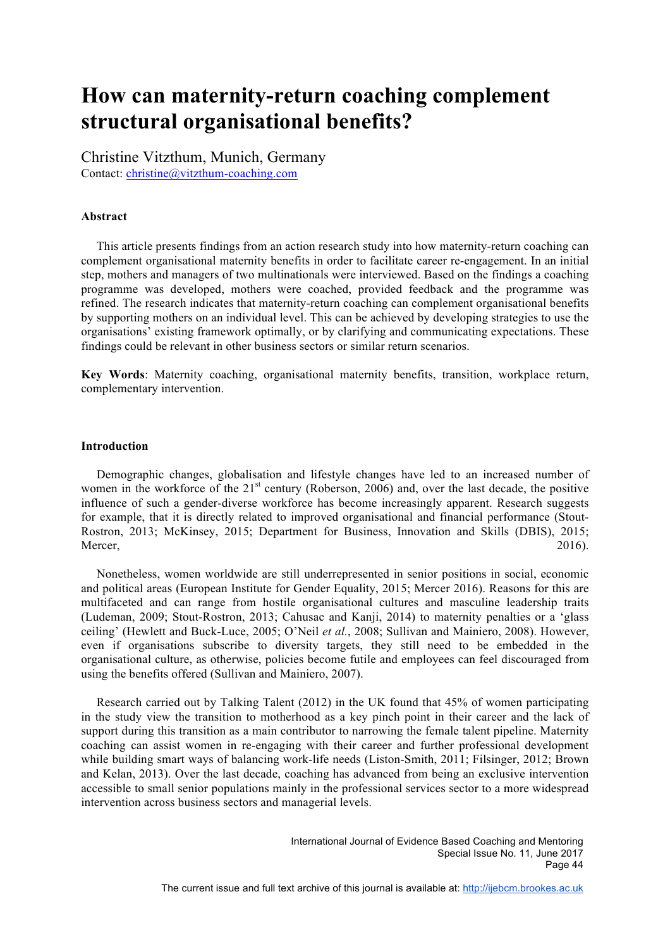# **How can maternity-return coaching complement structural organisational benefits?**

Christine Vitzthum, Munich, Germany Contact: christine@vitzthum-coaching.com

# **Abstract**

 This article presents findings from an action research study into how maternity-return coaching can complement organisational maternity benefits in order to facilitate career re-engagement. In an initial step, mothers and managers of two multinationals were interviewed. Based on the findings a coaching programme was developed, mothers were coached, provided feedback and the programme was refined. The research indicates that maternity-return coaching can complement organisational benefits by supporting mothers on an individual level. This can be achieved by developing strategies to use the organisations' existing framework optimally, or by clarifying and communicating expectations. These findings could be relevant in other business sectors or similar return scenarios.

**Key Words**: Maternity coaching, organisational maternity benefits, transition, workplace return, complementary intervention.

## **Introduction**

 Demographic changes, globalisation and lifestyle changes have led to an increased number of women in the workforce of the 21<sup>st</sup> century (Roberson, 2006) and, over the last decade, the positive influence of such a gender-diverse workforce has become increasingly apparent. Research suggests for example, that it is directly related to improved organisational and financial performance (Stout-Rostron, 2013; McKinsey, 2015; Department for Business, Innovation and Skills (DBIS), 2015; Mercer, 2016).

 Nonetheless, women worldwide are still underrepresented in senior positions in social, economic and political areas (European Institute for Gender Equality, 2015; Mercer 2016). Reasons for this are multifaceted and can range from hostile organisational cultures and masculine leadership traits (Ludeman, 2009; Stout-Rostron, 2013; Cahusac and Kanji, 2014) to maternity penalties or a 'glass ceiling' (Hewlett and Buck-Luce, 2005; O'Neil *et al.*, 2008; Sullivan and Mainiero, 2008). However, even if organisations subscribe to diversity targets, they still need to be embedded in the organisational culture, as otherwise, policies become futile and employees can feel discouraged from using the benefits offered (Sullivan and Mainiero, 2007).

 Research carried out by Talking Talent (2012) in the UK found that 45% of women participating in the study view the transition to motherhood as a key pinch point in their career and the lack of support during this transition as a main contributor to narrowing the female talent pipeline. Maternity coaching can assist women in re-engaging with their career and further professional development while building smart ways of balancing work-life needs (Liston-Smith, 2011; Filsinger, 2012; Brown and Kelan, 2013). Over the last decade, coaching has advanced from being an exclusive intervention accessible to small senior populations mainly in the professional services sector to a more widespread intervention across business sectors and managerial levels.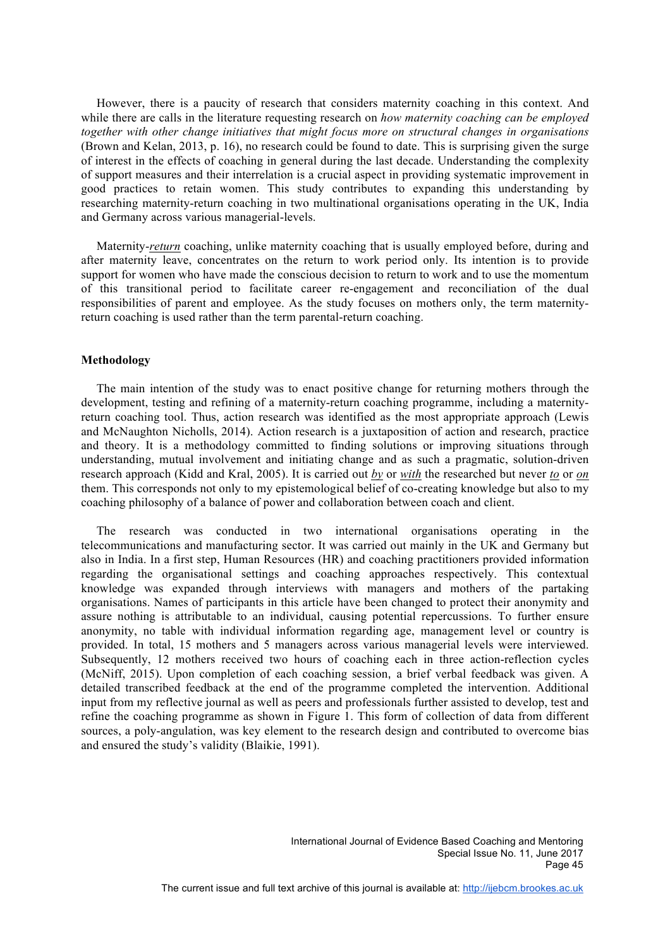However, there is a paucity of research that considers maternity coaching in this context. And while there are calls in the literature requesting research on *how maternity coaching can be employed together with other change initiatives that might focus more on structural changes in organisations* (Brown and Kelan, 2013, p. 16), no research could be found to date. This is surprising given the surge of interest in the effects of coaching in general during the last decade. Understanding the complexity of support measures and their interrelation is a crucial aspect in providing systematic improvement in good practices to retain women. This study contributes to expanding this understanding by researching maternity-return coaching in two multinational organisations operating in the UK, India and Germany across various managerial-levels.

 Maternity-*return* coaching, unlike maternity coaching that is usually employed before, during and after maternity leave, concentrates on the return to work period only. Its intention is to provide support for women who have made the conscious decision to return to work and to use the momentum of this transitional period to facilitate career re-engagement and reconciliation of the dual responsibilities of parent and employee. As the study focuses on mothers only, the term maternityreturn coaching is used rather than the term parental-return coaching.

# **Methodology**

 The main intention of the study was to enact positive change for returning mothers through the development, testing and refining of a maternity-return coaching programme, including a maternityreturn coaching tool. Thus, action research was identified as the most appropriate approach (Lewis and McNaughton Nicholls, 2014). Action research is a juxtaposition of action and research, practice and theory. It is a methodology committed to finding solutions or improving situations through understanding, mutual involvement and initiating change and as such a pragmatic, solution-driven research approach (Kidd and Kral, 2005). It is carried out *by* or *with* the researched but never *to* or *on* them. This corresponds not only to my epistemological belief of co-creating knowledge but also to my coaching philosophy of a balance of power and collaboration between coach and client.

 The research was conducted in two international organisations operating in the telecommunications and manufacturing sector. It was carried out mainly in the UK and Germany but also in India. In a first step, Human Resources (HR) and coaching practitioners provided information regarding the organisational settings and coaching approaches respectively. This contextual knowledge was expanded through interviews with managers and mothers of the partaking organisations. Names of participants in this article have been changed to protect their anonymity and assure nothing is attributable to an individual, causing potential repercussions. To further ensure anonymity, no table with individual information regarding age, management level or country is provided. In total, 15 mothers and 5 managers across various managerial levels were interviewed. Subsequently, 12 mothers received two hours of coaching each in three action-reflection cycles (McNiff, 2015). Upon completion of each coaching session, a brief verbal feedback was given. A detailed transcribed feedback at the end of the programme completed the intervention. Additional input from my reflective journal as well as peers and professionals further assisted to develop, test and refine the coaching programme as shown in Figure 1. This form of collection of data from different sources, a poly-angulation, was key element to the research design and contributed to overcome bias and ensured the study's validity (Blaikie, 1991).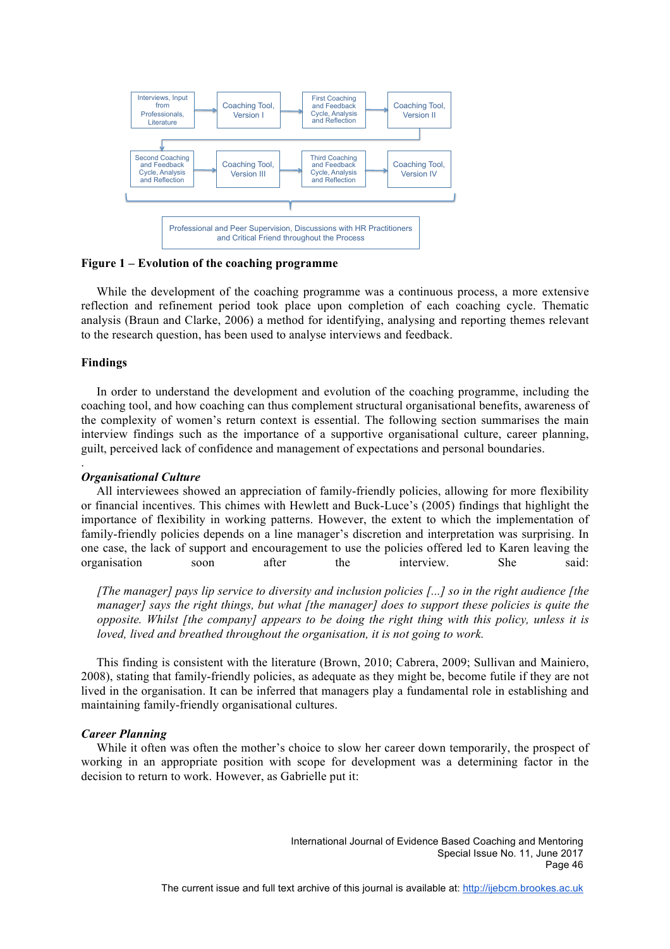

**Figure 1 – Evolution of the coaching programme** 

 While the development of the coaching programme was a continuous process, a more extensive reflection and refinement period took place upon completion of each coaching cycle. Thematic analysis (Braun and Clarke, 2006) a method for identifying, analysing and reporting themes relevant to the research question, has been used to analyse interviews and feedback.

# **Findings**

.

In order to understand the development and evolution of the coaching programme, including the coaching tool, and how coaching can thus complement structural organisational benefits, awareness of the complexity of women's return context is essential. The following section summarises the main interview findings such as the importance of a supportive organisational culture, career planning, guilt, perceived lack of confidence and management of expectations and personal boundaries.

### *Organisational Culture*

 All interviewees showed an appreciation of family-friendly policies, allowing for more flexibility or financial incentives. This chimes with Hewlett and Buck-Luce's (2005) findings that highlight the importance of flexibility in working patterns. However, the extent to which the implementation of family-friendly policies depends on a line manager's discretion and interpretation was surprising. In one case, the lack of support and encouragement to use the policies offered led to Karen leaving the organisation soon after the interview. She said:

*[The manager] pays lip service to diversity and inclusion policies [...] so in the right audience [the manager] says the right things, but what [the manager] does to support these policies is quite the opposite. Whilst [the company] appears to be doing the right thing with this policy, unless it is loved, lived and breathed throughout the organisation, it is not going to work.*

 This finding is consistent with the literature (Brown, 2010; Cabrera, 2009; Sullivan and Mainiero, 2008), stating that family-friendly policies, as adequate as they might be, become futile if they are not lived in the organisation. It can be inferred that managers play a fundamental role in establishing and maintaining family-friendly organisational cultures.

# *Career Planning*

 While it often was often the mother's choice to slow her career down temporarily, the prospect of working in an appropriate position with scope for development was a determining factor in the decision to return to work. However, as Gabrielle put it: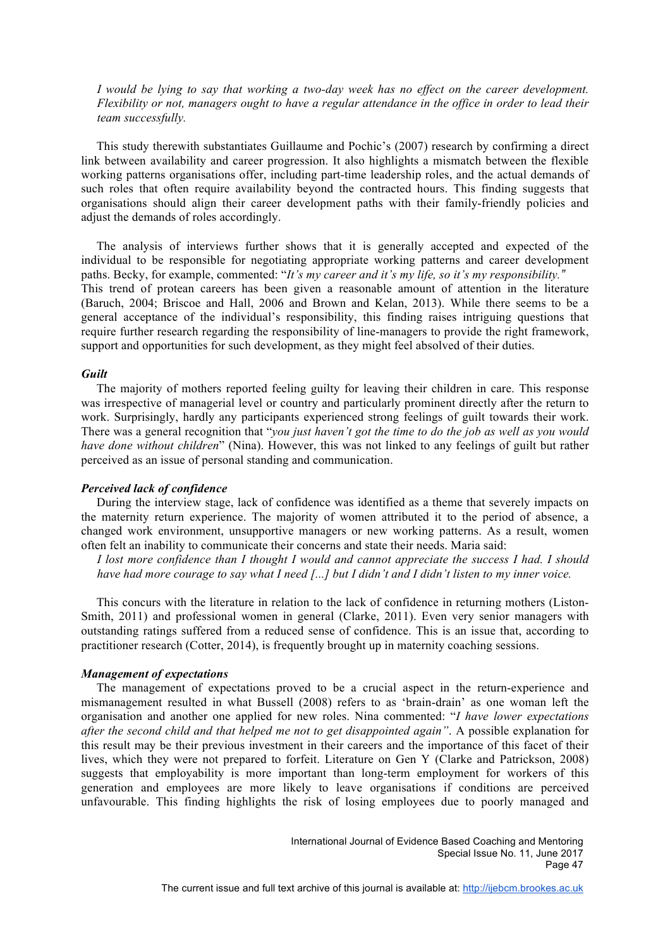*I would be lying to say that working a two-day week has no effect on the career development. Flexibility or not, managers ought to have a regular attendance in the office in order to lead their team successfully.*

 This study therewith substantiates Guillaume and Pochic's (2007) research by confirming a direct link between availability and career progression. It also highlights a mismatch between the flexible working patterns organisations offer, including part-time leadership roles, and the actual demands of such roles that often require availability beyond the contracted hours. This finding suggests that organisations should align their career development paths with their family-friendly policies and adjust the demands of roles accordingly.

 The analysis of interviews further shows that it is generally accepted and expected of the individual to be responsible for negotiating appropriate working patterns and career development paths. Becky, for example, commented: "*It's my career and it's my life, so it's my responsibility."* This trend of protean careers has been given a reasonable amount of attention in the literature (Baruch, 2004; Briscoe and Hall, 2006 and Brown and Kelan, 2013). While there seems to be a general acceptance of the individual's responsibility, this finding raises intriguing questions that require further research regarding the responsibility of line-managers to provide the right framework, support and opportunities for such development, as they might feel absolved of their duties.

# *Guilt*

 The majority of mothers reported feeling guilty for leaving their children in care. This response was irrespective of managerial level or country and particularly prominent directly after the return to work. Surprisingly, hardly any participants experienced strong feelings of guilt towards their work. There was a general recognition that "*you just haven't got the time to do the job as well as you would have done without children*" (Nina). However, this was not linked to any feelings of guilt but rather perceived as an issue of personal standing and communication.

# *Perceived lack of confidence*

 During the interview stage, lack of confidence was identified as a theme that severely impacts on the maternity return experience. The majority of women attributed it to the period of absence, a changed work environment, unsupportive managers or new working patterns. As a result, women often felt an inability to communicate their concerns and state their needs. Maria said:

*I lost more confidence than I thought I would and cannot appreciate the success I had. I should have had more courage to say what I need [...] but I didn't and I didn't listen to my inner voice.*

 This concurs with the literature in relation to the lack of confidence in returning mothers (Liston-Smith, 2011) and professional women in general (Clarke, 2011). Even very senior managers with outstanding ratings suffered from a reduced sense of confidence. This is an issue that, according to practitioner research (Cotter, 2014), is frequently brought up in maternity coaching sessions.

## *Management of expectations*

 The management of expectations proved to be a crucial aspect in the return-experience and mismanagement resulted in what Bussell (2008) refers to as 'brain-drain' as one woman left the organisation and another one applied for new roles. Nina commented: "*I have lower expectations after the second child and that helped me not to get disappointed again"*. A possible explanation for this result may be their previous investment in their careers and the importance of this facet of their lives, which they were not prepared to forfeit. Literature on Gen Y (Clarke and Patrickson, 2008) suggests that employability is more important than long-term employment for workers of this generation and employees are more likely to leave organisations if conditions are perceived unfavourable. This finding highlights the risk of losing employees due to poorly managed and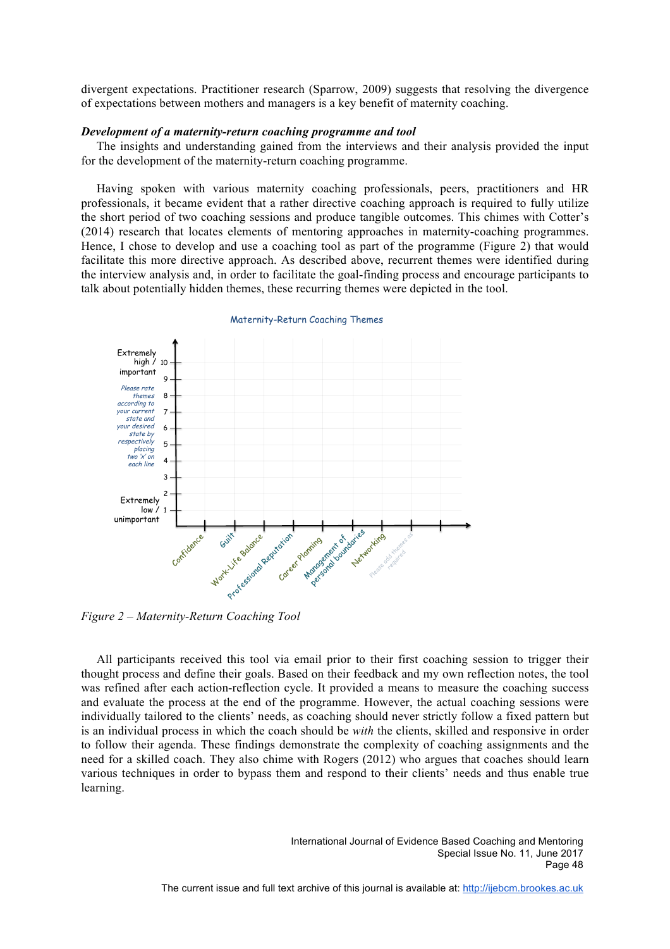divergent expectations. Practitioner research (Sparrow, 2009) suggests that resolving the divergence of expectations between mothers and managers is a key benefit of maternity coaching.

## *Development of a maternity-return coaching programme and tool*

 The insights and understanding gained from the interviews and their analysis provided the input for the development of the maternity-return coaching programme.

 Having spoken with various maternity coaching professionals, peers, practitioners and HR professionals, it became evident that a rather directive coaching approach is required to fully utilize the short period of two coaching sessions and produce tangible outcomes. This chimes with Cotter's (2014) research that locates elements of mentoring approaches in maternity-coaching programmes. Hence, I chose to develop and use a coaching tool as part of the programme (Figure 2) that would facilitate this more directive approach. As described above, recurrent themes were identified during the interview analysis and, in order to facilitate the goal-finding process and encourage participants to talk about potentially hidden themes, these recurring themes were depicted in the tool.



#### Maternity-Return Coaching Themes

*Figure 2 – Maternity-Return Coaching Tool*

 All participants received this tool via email prior to their first coaching session to trigger their thought process and define their goals. Based on their feedback and my own reflection notes, the tool was refined after each action-reflection cycle. It provided a means to measure the coaching success and evaluate the process at the end of the programme. However, the actual coaching sessions were individually tailored to the clients' needs, as coaching should never strictly follow a fixed pattern but is an individual process in which the coach should be *with* the clients, skilled and responsive in order to follow their agenda. These findings demonstrate the complexity of coaching assignments and the need for a skilled coach. They also chime with Rogers (2012) who argues that coaches should learn various techniques in order to bypass them and respond to their clients' needs and thus enable true learning.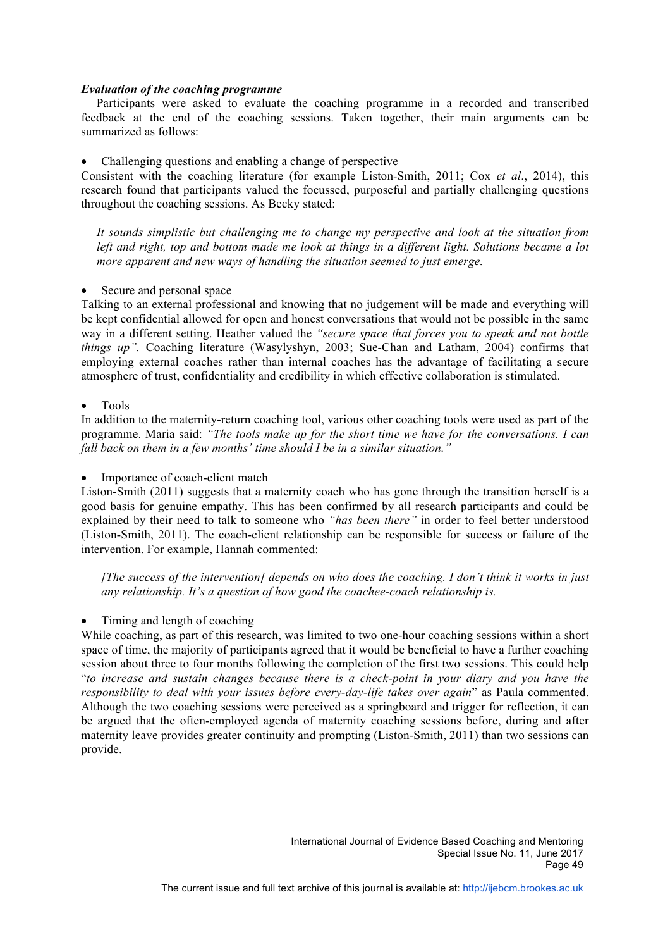# *Evaluation of the coaching programme*

 Participants were asked to evaluate the coaching programme in a recorded and transcribed feedback at the end of the coaching sessions. Taken together, their main arguments can be summarized as follows:

# • Challenging questions and enabling a change of perspective

Consistent with the coaching literature (for example Liston-Smith, 2011; Cox *et al*., 2014), this research found that participants valued the focussed, purposeful and partially challenging questions throughout the coaching sessions. As Becky stated:

*It sounds simplistic but challenging me to change my perspective and look at the situation from left and right, top and bottom made me look at things in a different light. Solutions became a lot more apparent and new ways of handling the situation seemed to just emerge.*

# • Secure and personal space

Talking to an external professional and knowing that no judgement will be made and everything will be kept confidential allowed for open and honest conversations that would not be possible in the same way in a different setting. Heather valued the *"secure space that forces you to speak and not bottle things up".* Coaching literature (Wasylyshyn, 2003; Sue-Chan and Latham, 2004) confirms that employing external coaches rather than internal coaches has the advantage of facilitating a secure atmosphere of trust, confidentiality and credibility in which effective collaboration is stimulated.

# • Tools

In addition to the maternity-return coaching tool, various other coaching tools were used as part of the programme. Maria said: *"The tools make up for the short time we have for the conversations. I can fall back on them in a few months' time should I be in a similar situation."*

Importance of coach-client match

Liston-Smith (2011) suggests that a maternity coach who has gone through the transition herself is a good basis for genuine empathy. This has been confirmed by all research participants and could be explained by their need to talk to someone who *"has been there"* in order to feel better understood (Liston-Smith, 2011). The coach-client relationship can be responsible for success or failure of the intervention. For example, Hannah commented:

*[The success of the intervention] depends on who does the coaching. I don't think it works in just any relationship. It's a question of how good the coachee-coach relationship is.*

# • Timing and length of coaching

While coaching, as part of this research, was limited to two one-hour coaching sessions within a short space of time, the majority of participants agreed that it would be beneficial to have a further coaching session about three to four months following the completion of the first two sessions. This could help "*to increase and sustain changes because there is a check-point in your diary and you have the responsibility to deal with your issues before every-day-life takes over again*" as Paula commented. Although the two coaching sessions were perceived as a springboard and trigger for reflection, it can be argued that the often-employed agenda of maternity coaching sessions before, during and after maternity leave provides greater continuity and prompting (Liston-Smith, 2011) than two sessions can provide.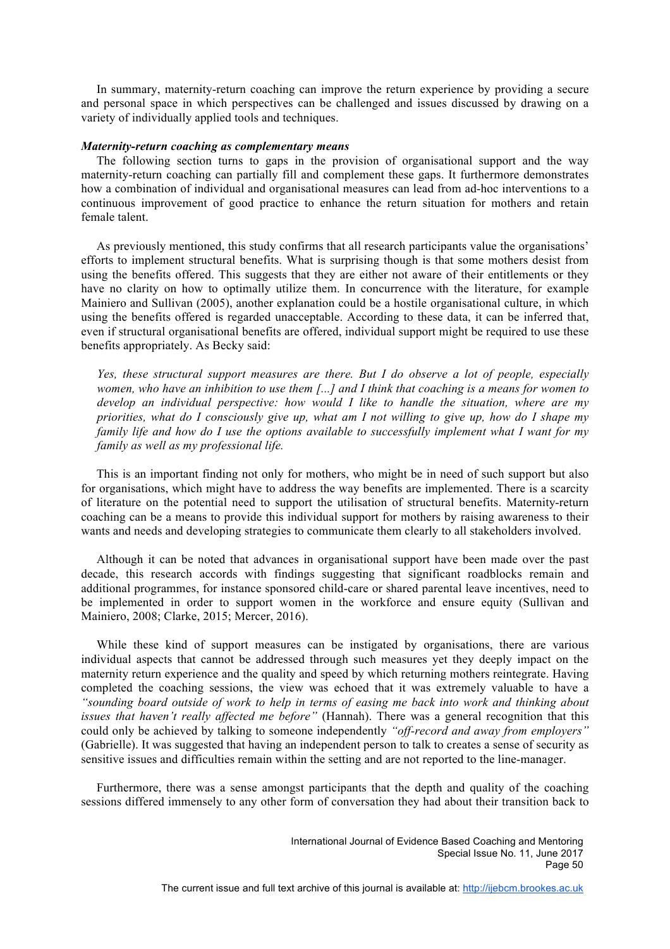In summary, maternity-return coaching can improve the return experience by providing a secure and personal space in which perspectives can be challenged and issues discussed by drawing on a variety of individually applied tools and techniques.

# *Maternity-return coaching as complementary means*

 The following section turns to gaps in the provision of organisational support and the way maternity-return coaching can partially fill and complement these gaps. It furthermore demonstrates how a combination of individual and organisational measures can lead from ad-hoc interventions to a continuous improvement of good practice to enhance the return situation for mothers and retain female talent.

 As previously mentioned, this study confirms that all research participants value the organisations' efforts to implement structural benefits. What is surprising though is that some mothers desist from using the benefits offered. This suggests that they are either not aware of their entitlements or they have no clarity on how to optimally utilize them. In concurrence with the literature, for example Mainiero and Sullivan (2005), another explanation could be a hostile organisational culture, in which using the benefits offered is regarded unacceptable. According to these data, it can be inferred that, even if structural organisational benefits are offered, individual support might be required to use these benefits appropriately. As Becky said:

*Yes, these structural support measures are there. But I do observe a lot of people, especially women, who have an inhibition to use them [...] and I think that coaching is a means for women to develop an individual perspective: how would I like to handle the situation, where are my priorities, what do I consciously give up, what am I not willing to give up, how do I shape my family life and how do I use the options available to successfully implement what I want for my family as well as my professional life.*

 This is an important finding not only for mothers, who might be in need of such support but also for organisations, which might have to address the way benefits are implemented. There is a scarcity of literature on the potential need to support the utilisation of structural benefits. Maternity-return coaching can be a means to provide this individual support for mothers by raising awareness to their wants and needs and developing strategies to communicate them clearly to all stakeholders involved.

 Although it can be noted that advances in organisational support have been made over the past decade, this research accords with findings suggesting that significant roadblocks remain and additional programmes, for instance sponsored child-care or shared parental leave incentives, need to be implemented in order to support women in the workforce and ensure equity (Sullivan and Mainiero, 2008; Clarke, 2015; Mercer, 2016).

 While these kind of support measures can be instigated by organisations, there are various individual aspects that cannot be addressed through such measures yet they deeply impact on the maternity return experience and the quality and speed by which returning mothers reintegrate. Having completed the coaching sessions, the view was echoed that it was extremely valuable to have a *"sounding board outside of work to help in terms of easing me back into work and thinking about issues that haven't really affected me before"* (Hannah). There was a general recognition that this could only be achieved by talking to someone independently *"off-record and away from employers"* (Gabrielle). It was suggested that having an independent person to talk to creates a sense of security as sensitive issues and difficulties remain within the setting and are not reported to the line-manager.

 Furthermore, there was a sense amongst participants that the depth and quality of the coaching sessions differed immensely to any other form of conversation they had about their transition back to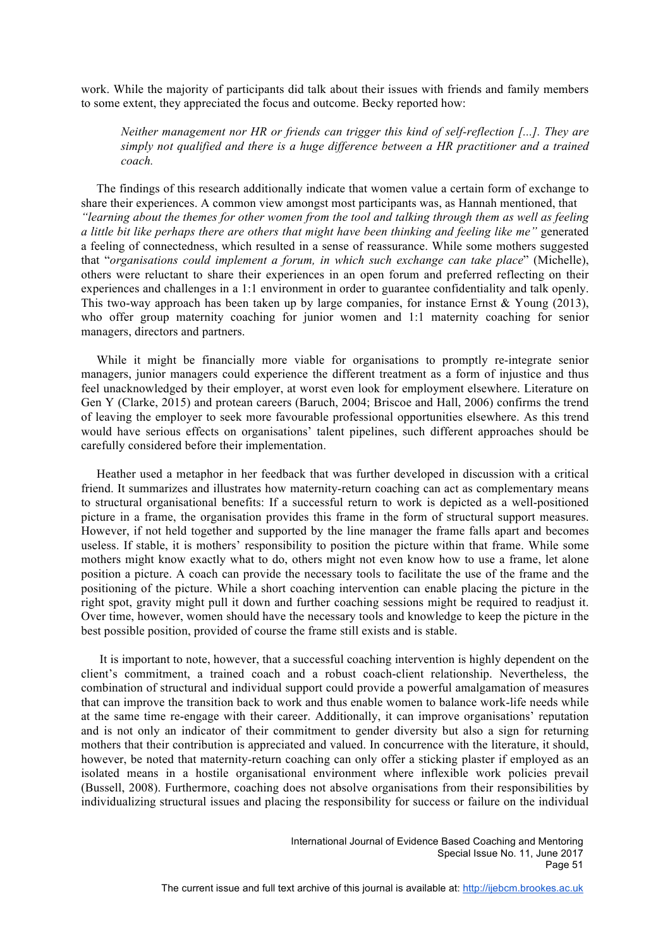work. While the majority of participants did talk about their issues with friends and family members to some extent, they appreciated the focus and outcome. Becky reported how:

*Neither management nor HR or friends can trigger this kind of self-reflection [...]. They are simply not qualified and there is a huge difference between a HR practitioner and a trained coach.* 

 The findings of this research additionally indicate that women value a certain form of exchange to share their experiences. A common view amongst most participants was, as Hannah mentioned, that *"learning about the themes for other women from the tool and talking through them as well as feeling a little bit like perhaps there are others that might have been thinking and feeling like me"* generated a feeling of connectedness, which resulted in a sense of reassurance. While some mothers suggested that "*organisations could implement a forum, in which such exchange can take place*" (Michelle), others were reluctant to share their experiences in an open forum and preferred reflecting on their experiences and challenges in a 1:1 environment in order to guarantee confidentiality and talk openly. This two-way approach has been taken up by large companies, for instance Ernst & Young (2013), who offer group maternity coaching for junior women and 1:1 maternity coaching for senior managers, directors and partners.

 While it might be financially more viable for organisations to promptly re-integrate senior managers, junior managers could experience the different treatment as a form of injustice and thus feel unacknowledged by their employer, at worst even look for employment elsewhere. Literature on Gen Y (Clarke, 2015) and protean careers (Baruch, 2004; Briscoe and Hall, 2006) confirms the trend of leaving the employer to seek more favourable professional opportunities elsewhere. As this trend would have serious effects on organisations' talent pipelines, such different approaches should be carefully considered before their implementation.

 Heather used a metaphor in her feedback that was further developed in discussion with a critical friend. It summarizes and illustrates how maternity-return coaching can act as complementary means to structural organisational benefits: If a successful return to work is depicted as a well-positioned picture in a frame, the organisation provides this frame in the form of structural support measures. However, if not held together and supported by the line manager the frame falls apart and becomes useless. If stable, it is mothers' responsibility to position the picture within that frame. While some mothers might know exactly what to do, others might not even know how to use a frame, let alone position a picture. A coach can provide the necessary tools to facilitate the use of the frame and the positioning of the picture. While a short coaching intervention can enable placing the picture in the right spot, gravity might pull it down and further coaching sessions might be required to readjust it. Over time, however, women should have the necessary tools and knowledge to keep the picture in the best possible position, provided of course the frame still exists and is stable.

 It is important to note, however, that a successful coaching intervention is highly dependent on the client's commitment, a trained coach and a robust coach-client relationship. Nevertheless, the combination of structural and individual support could provide a powerful amalgamation of measures that can improve the transition back to work and thus enable women to balance work-life needs while at the same time re-engage with their career. Additionally, it can improve organisations' reputation and is not only an indicator of their commitment to gender diversity but also a sign for returning mothers that their contribution is appreciated and valued. In concurrence with the literature, it should, however, be noted that maternity-return coaching can only offer a sticking plaster if employed as an isolated means in a hostile organisational environment where inflexible work policies prevail (Bussell, 2008). Furthermore, coaching does not absolve organisations from their responsibilities by individualizing structural issues and placing the responsibility for success or failure on the individual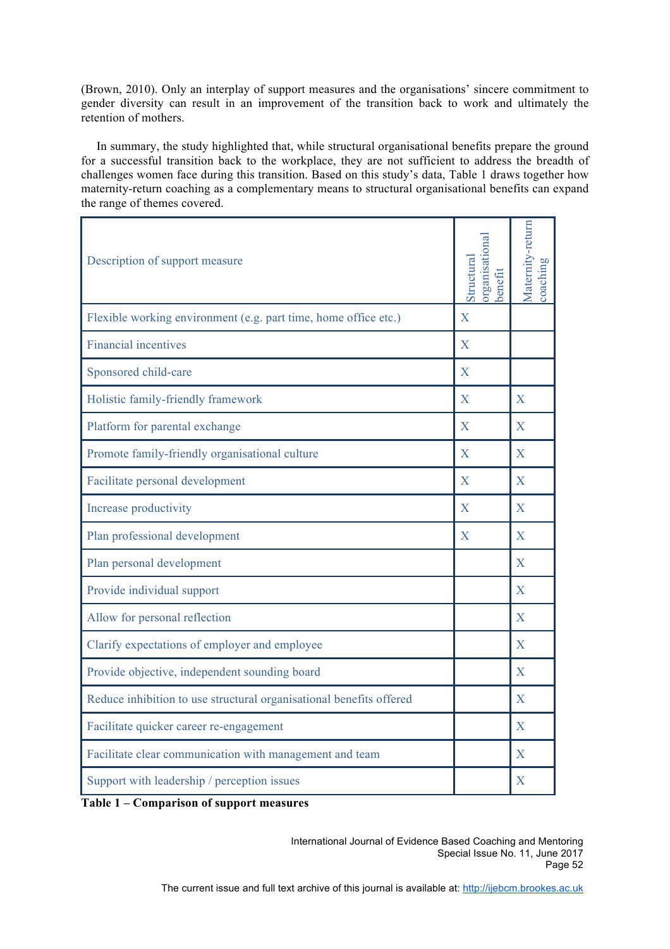(Brown, 2010). Only an interplay of support measures and the organisations' sincere commitment to gender diversity can result in an improvement of the transition back to work and ultimately the retention of mothers.

 In summary, the study highlighted that, while structural organisational benefits prepare the ground for a successful transition back to the workplace, they are not sufficient to address the breadth of challenges women face during this transition. Based on this study's data, Table 1 draws together how maternity-return coaching as a complementary means to structural organisational benefits can expand the range of themes covered.

| Description of support measure                                      | organisationa<br>Structural<br>enefit | Matemity-return<br>coaching |
|---------------------------------------------------------------------|---------------------------------------|-----------------------------|
| Flexible working environment (e.g. part time, home office etc.)     | $\overline{X}$                        |                             |
| <b>Financial incentives</b>                                         | X                                     |                             |
| Sponsored child-care                                                | X                                     |                             |
| Holistic family-friendly framework                                  | X                                     | X                           |
| Platform for parental exchange                                      | X                                     | X                           |
| Promote family-friendly organisational culture                      | X                                     | $\mathbf{X}$                |
| Facilitate personal development                                     | $\mathbf X$                           | $\mathbf{X}$                |
| Increase productivity                                               | X                                     | X                           |
| Plan professional development                                       | X                                     | X                           |
| Plan personal development                                           |                                       | X                           |
| Provide individual support                                          |                                       | X                           |
| Allow for personal reflection                                       |                                       | $\mathbf{X}$                |
| Clarify expectations of employer and employee                       |                                       | X                           |
| Provide objective, independent sounding board                       |                                       | $\mathbf{X}$                |
| Reduce inhibition to use structural organisational benefits offered |                                       | X                           |
| Facilitate quicker career re-engagement                             |                                       | X                           |
| Facilitate clear communication with management and team             |                                       | $\mathbf{X}$                |
| Support with leadership / perception issues                         |                                       | $\rm X$                     |

**Table 1 – Comparison of support measures**

International Journal of Evidence Based Coaching and Mentoring Special Issue No. 11, June 2017 Page 52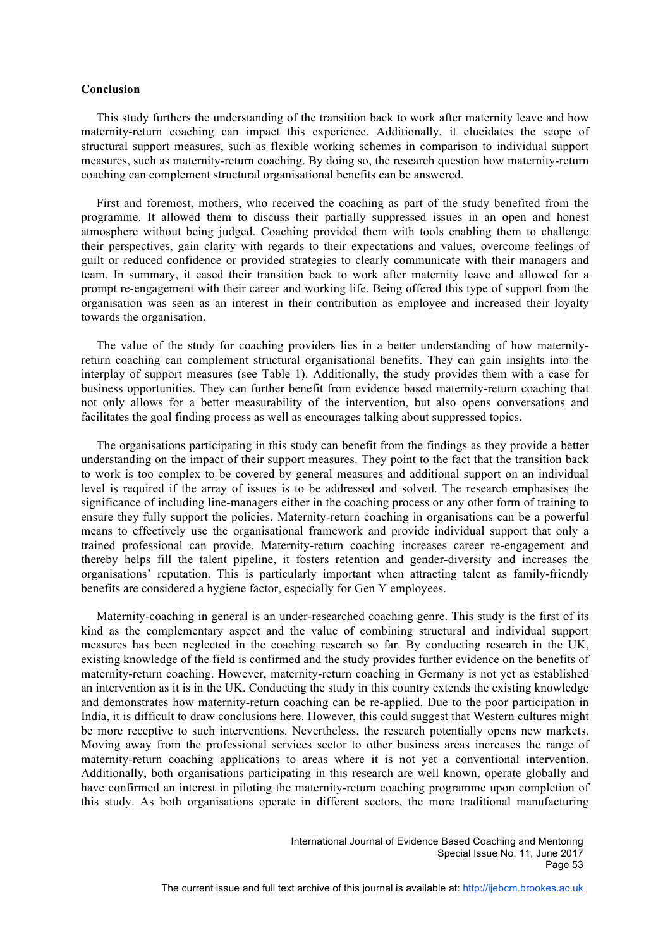## **Conclusion**

 This study furthers the understanding of the transition back to work after maternity leave and how maternity-return coaching can impact this experience. Additionally, it elucidates the scope of structural support measures, such as flexible working schemes in comparison to individual support measures, such as maternity-return coaching. By doing so, the research question how maternity-return coaching can complement structural organisational benefits can be answered.

 First and foremost, mothers, who received the coaching as part of the study benefited from the programme. It allowed them to discuss their partially suppressed issues in an open and honest atmosphere without being judged. Coaching provided them with tools enabling them to challenge their perspectives, gain clarity with regards to their expectations and values, overcome feelings of guilt or reduced confidence or provided strategies to clearly communicate with their managers and team. In summary, it eased their transition back to work after maternity leave and allowed for a prompt re-engagement with their career and working life. Being offered this type of support from the organisation was seen as an interest in their contribution as employee and increased their loyalty towards the organisation.

 The value of the study for coaching providers lies in a better understanding of how maternityreturn coaching can complement structural organisational benefits. They can gain insights into the interplay of support measures (see Table 1). Additionally, the study provides them with a case for business opportunities. They can further benefit from evidence based maternity-return coaching that not only allows for a better measurability of the intervention, but also opens conversations and facilitates the goal finding process as well as encourages talking about suppressed topics.

 The organisations participating in this study can benefit from the findings as they provide a better understanding on the impact of their support measures. They point to the fact that the transition back to work is too complex to be covered by general measures and additional support on an individual level is required if the array of issues is to be addressed and solved. The research emphasises the significance of including line-managers either in the coaching process or any other form of training to ensure they fully support the policies. Maternity-return coaching in organisations can be a powerful means to effectively use the organisational framework and provide individual support that only a trained professional can provide. Maternity-return coaching increases career re-engagement and thereby helps fill the talent pipeline, it fosters retention and gender-diversity and increases the organisations' reputation. This is particularly important when attracting talent as family-friendly benefits are considered a hygiene factor, especially for Gen Y employees.

 Maternity-coaching in general is an under-researched coaching genre. This study is the first of its kind as the complementary aspect and the value of combining structural and individual support measures has been neglected in the coaching research so far. By conducting research in the UK, existing knowledge of the field is confirmed and the study provides further evidence on the benefits of maternity-return coaching. However, maternity-return coaching in Germany is not yet as established an intervention as it is in the UK. Conducting the study in this country extends the existing knowledge and demonstrates how maternity-return coaching can be re-applied. Due to the poor participation in India, it is difficult to draw conclusions here. However, this could suggest that Western cultures might be more receptive to such interventions. Nevertheless, the research potentially opens new markets. Moving away from the professional services sector to other business areas increases the range of maternity-return coaching applications to areas where it is not yet a conventional intervention. Additionally, both organisations participating in this research are well known, operate globally and have confirmed an interest in piloting the maternity-return coaching programme upon completion of this study. As both organisations operate in different sectors, the more traditional manufacturing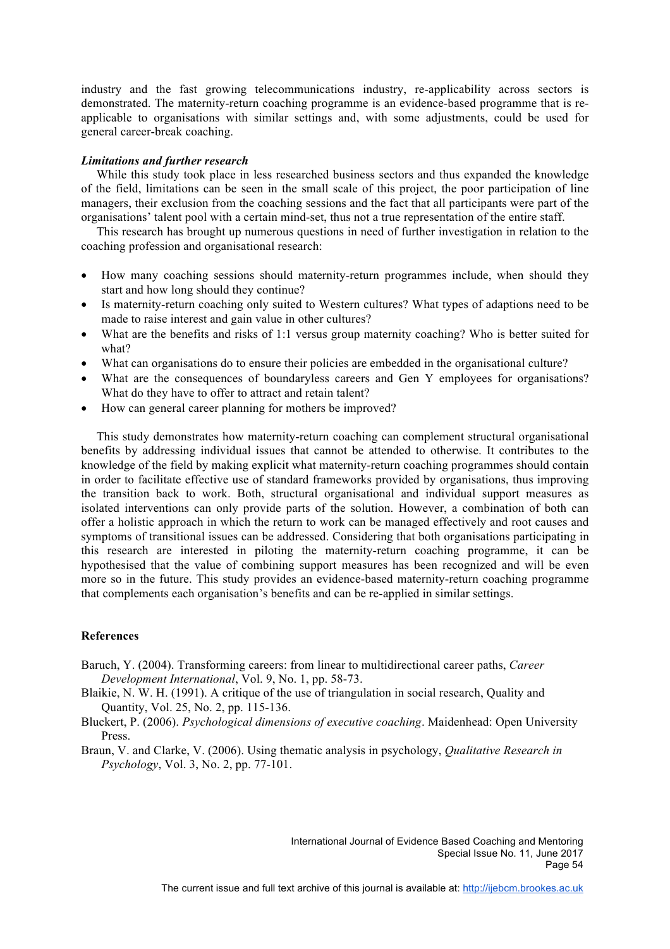industry and the fast growing telecommunications industry, re-applicability across sectors is demonstrated. The maternity-return coaching programme is an evidence-based programme that is reapplicable to organisations with similar settings and, with some adjustments, could be used for general career-break coaching.

## *Limitations and further research*

 While this study took place in less researched business sectors and thus expanded the knowledge of the field, limitations can be seen in the small scale of this project, the poor participation of line managers, their exclusion from the coaching sessions and the fact that all participants were part of the organisations' talent pool with a certain mind-set, thus not a true representation of the entire staff.

 This research has brought up numerous questions in need of further investigation in relation to the coaching profession and organisational research:

- How many coaching sessions should maternity-return programmes include, when should they start and how long should they continue?
- Is maternity-return coaching only suited to Western cultures? What types of adaptions need to be made to raise interest and gain value in other cultures?
- What are the benefits and risks of 1:1 versus group maternity coaching? Who is better suited for what?
- What can organisations do to ensure their policies are embedded in the organisational culture?
- What are the consequences of boundaryless careers and Gen Y employees for organisations? What do they have to offer to attract and retain talent?
- How can general career planning for mothers be improved?

 This study demonstrates how maternity-return coaching can complement structural organisational benefits by addressing individual issues that cannot be attended to otherwise. It contributes to the knowledge of the field by making explicit what maternity-return coaching programmes should contain in order to facilitate effective use of standard frameworks provided by organisations, thus improving the transition back to work. Both, structural organisational and individual support measures as isolated interventions can only provide parts of the solution. However, a combination of both can offer a holistic approach in which the return to work can be managed effectively and root causes and symptoms of transitional issues can be addressed. Considering that both organisations participating in this research are interested in piloting the maternity-return coaching programme, it can be hypothesised that the value of combining support measures has been recognized and will be even more so in the future. This study provides an evidence-based maternity-return coaching programme that complements each organisation's benefits and can be re-applied in similar settings.

# **References**

- Baruch, Y. (2004). Transforming careers: from linear to multidirectional career paths, *Career Development International*, Vol. 9, No. 1, pp. 58-73.
- Blaikie, N. W. H. (1991). A critique of the use of triangulation in social research, Quality and Quantity, Vol. 25, No. 2, pp. 115-136.
- Bluckert, P. (2006). *Psychological dimensions of executive coaching*. Maidenhead: Open University Press.
- Braun, V. and Clarke, V. (2006). Using thematic analysis in psychology, *Qualitative Research in Psychology*, Vol. 3, No. 2, pp. 77-101.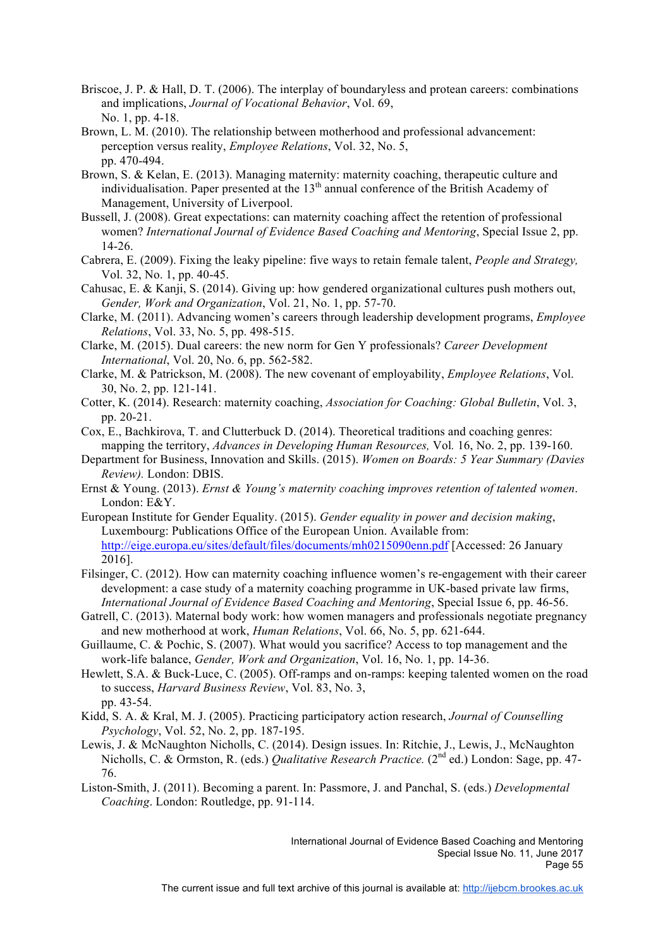- Briscoe, J. P. & Hall, D. T. (2006). The interplay of boundaryless and protean careers: combinations and implications, *Journal of Vocational Behavior*, Vol. 69, No. 1, pp. 4-18.
- Brown, L. M. (2010). The relationship between motherhood and professional advancement: perception versus reality, *Employee Relations*, Vol. 32, No. 5, pp. 470-494.
- Brown, S. & Kelan, E. (2013). Managing maternity: maternity coaching, therapeutic culture and individualisation. Paper presented at the  $13<sup>th</sup>$  annual conference of the British Academy of Management, University of Liverpool.
- Bussell, J. (2008). Great expectations: can maternity coaching affect the retention of professional women? *International Journal of Evidence Based Coaching and Mentoring*, Special Issue 2, pp. 14-26.
- Cabrera, E. (2009). Fixing the leaky pipeline: five ways to retain female talent, *People and Strategy,* Vol. 32, No. 1, pp. 40-45.
- Cahusac, E. & Kanji, S. (2014). Giving up: how gendered organizational cultures push mothers out, *Gender, Work and Organization*, Vol. 21, No. 1, pp. 57-70.
- Clarke, M. (2011). Advancing women's careers through leadership development programs, *Employee Relations*, Vol. 33, No. 5, pp. 498-515.
- Clarke, M. (2015). Dual careers: the new norm for Gen Y professionals? *Career Development International*, Vol. 20, No. 6, pp. 562-582.
- Clarke, M. & Patrickson, M. (2008). The new covenant of employability, *Employee Relations*, Vol. 30, No. 2, pp. 121-141.
- Cotter, K. (2014). Research: maternity coaching, *Association for Coaching: Global Bulletin*, Vol. 3, pp. 20-21.
- Cox, E., Bachkirova, T. and Clutterbuck D. (2014). Theoretical traditions and coaching genres: mapping the territory, *Advances in Developing Human Resources,* Vol*.* 16, No. 2, pp. 139-160.
- Department for Business, Innovation and Skills. (2015). *Women on Boards: 5 Year Summary (Davies Review).* London: DBIS.
- Ernst & Young. (2013). *Ernst & Young's maternity coaching improves retention of talented women*. London: E&Y.
- European Institute for Gender Equality. (2015). *Gender equality in power and decision making*, Luxembourg: Publications Office of the European Union. Available from: http://eige.europa.eu/sites/default/files/documents/mh0215090enn.pdf [Accessed: 26 January 2016].
- Filsinger, C. (2012). How can maternity coaching influence women's re-engagement with their career development: a case study of a maternity coaching programme in UK-based private law firms, *International Journal of Evidence Based Coaching and Mentoring*, Special Issue 6, pp. 46-56.
- Gatrell, C. (2013). Maternal body work: how women managers and professionals negotiate pregnancy and new motherhood at work, *Human Relations*, Vol. 66, No. 5, pp. 621-644.
- Guillaume, C. & Pochic, S. (2007). What would you sacrifice? Access to top management and the work-life balance, *Gender, Work and Organization*, Vol. 16, No. 1, pp. 14-36.
- Hewlett, S.A. & Buck-Luce, C. (2005). Off-ramps and on-ramps: keeping talented women on the road to success, *Harvard Business Review*, Vol. 83, No. 3, pp. 43-54.
- Kidd, S. A. & Kral, M. J. (2005). Practicing participatory action research, *Journal of Counselling Psychology*, Vol. 52, No. 2, pp. 187-195.
- Lewis, J. & McNaughton Nicholls, C. (2014). Design issues. In: Ritchie, J., Lewis, J., McNaughton Nicholls, C. & Ormston, R. (eds.) *Qualitative Research Practice.* (2nd ed.) London: Sage, pp. 47- 76.
- Liston-Smith, J. (2011). Becoming a parent. In: Passmore, J. and Panchal, S. (eds.) *Developmental Coaching*. London: Routledge, pp. 91-114.